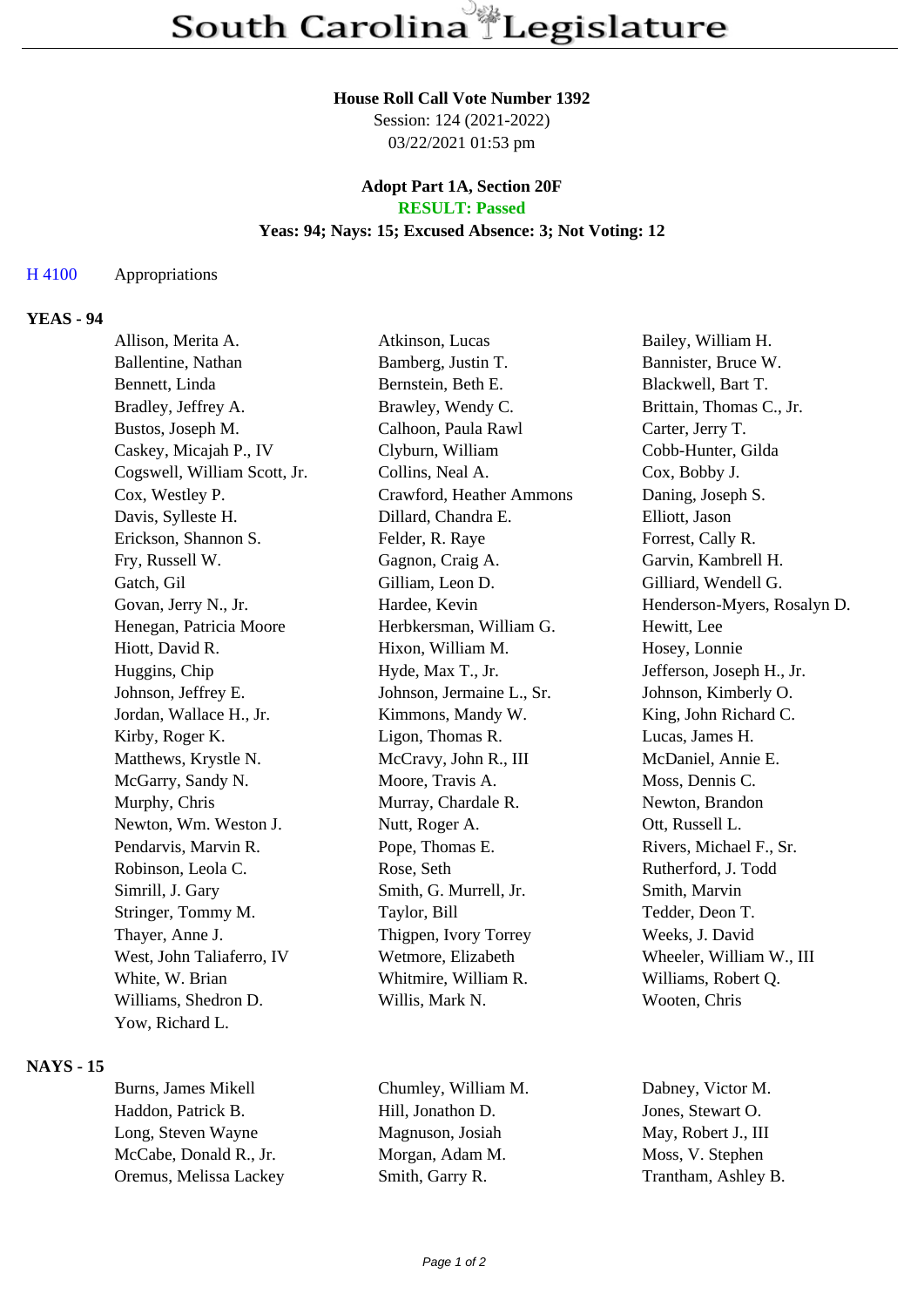#### **House Roll Call Vote Number 1392**

Session: 124 (2021-2022) 03/22/2021 01:53 pm

### **Adopt Part 1A, Section 20F RESULT: Passed**

### **Yeas: 94; Nays: 15; Excused Absence: 3; Not Voting: 12**

### H 4100 Appropriations

## **YEAS - 94**

| Allison, Merita A.           | Atkinson, Lucas           | Bailey, William H.          |
|------------------------------|---------------------------|-----------------------------|
| Ballentine, Nathan           | Bamberg, Justin T.        | Bannister, Bruce W.         |
| Bennett, Linda               | Bernstein, Beth E.        | Blackwell, Bart T.          |
| Bradley, Jeffrey A.          | Brawley, Wendy C.         | Brittain, Thomas C., Jr.    |
| Bustos, Joseph M.            | Calhoon, Paula Rawl       | Carter, Jerry T.            |
| Caskey, Micajah P., IV       | Clyburn, William          | Cobb-Hunter, Gilda          |
| Cogswell, William Scott, Jr. | Collins, Neal A.          | Cox, Bobby J.               |
| Cox, Westley P.              | Crawford, Heather Ammons  | Daning, Joseph S.           |
| Davis, Sylleste H.           | Dillard, Chandra E.       | Elliott, Jason              |
| Erickson, Shannon S.         | Felder, R. Raye           | Forrest, Cally R.           |
| Fry, Russell W.              | Gagnon, Craig A.          | Garvin, Kambrell H.         |
| Gatch, Gil                   | Gilliam, Leon D.          | Gilliard, Wendell G.        |
| Govan, Jerry N., Jr.         | Hardee, Kevin             | Henderson-Myers, Rosalyn D. |
| Henegan, Patricia Moore      | Herbkersman, William G.   | Hewitt, Lee                 |
| Hiott, David R.              | Hixon, William M.         | Hosey, Lonnie               |
| Huggins, Chip                | Hyde, Max T., Jr.         | Jefferson, Joseph H., Jr.   |
| Johnson, Jeffrey E.          | Johnson, Jermaine L., Sr. | Johnson, Kimberly O.        |
| Jordan, Wallace H., Jr.      | Kimmons, Mandy W.         | King, John Richard C.       |
| Kirby, Roger K.              | Ligon, Thomas R.          | Lucas, James H.             |
| Matthews, Krystle N.         | McCravy, John R., III     | McDaniel, Annie E.          |
| McGarry, Sandy N.            | Moore, Travis A.          | Moss, Dennis C.             |
| Murphy, Chris                | Murray, Chardale R.       | Newton, Brandon             |
| Newton, Wm. Weston J.        | Nutt, Roger A.            | Ott, Russell L.             |
| Pendarvis, Marvin R.         | Pope, Thomas E.           | Rivers, Michael F., Sr.     |
| Robinson, Leola C.           | Rose, Seth                | Rutherford, J. Todd         |
| Simrill, J. Gary             | Smith, G. Murrell, Jr.    | Smith, Marvin               |
| Stringer, Tommy M.           | Taylor, Bill              | Tedder, Deon T.             |
| Thayer, Anne J.              | Thigpen, Ivory Torrey     | Weeks, J. David             |
| West, John Taliaferro, IV    | Wetmore, Elizabeth        | Wheeler, William W., III    |
| White, W. Brian              | Whitmire, William R.      | Williams, Robert Q.         |
| Williams, Shedron D.         | Willis, Mark N.           | Wooten, Chris               |
| Yow, Richard L.              |                           |                             |
|                              |                           |                             |

### **NAYS - 15**

Burns, James Mikell Chumley, William M. Dabney, Victor M. Haddon, Patrick B. **Hill**, Jonathon D. Jones, Stewart O. Long, Steven Wayne Magnuson, Josiah May, Robert J., III McCabe, Donald R., Jr. Morgan, Adam M. Moss, V. Stephen Oremus, Melissa Lackey Smith, Garry R. Trantham, Ashley B.